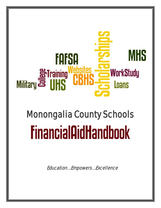## **MHS FAFSA WorkStudy** <del>t:417</del> Loans

# Monongalia County Schools **FinancialAidHandbook**

Education….Empowers….Excellence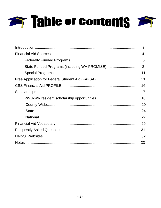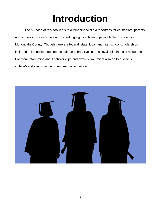## **Introduction**

<span id="page-2-0"></span>The purpose of this booklet is to outline financial aid resources for counselors, parents, and students. The information provided highlights scholarships available to students in Monongalia County. Though there are federal, state, local, and high school scholarships included, this booklet does not contain an exhaustive list of all available financial resources. For more information about scholarships and awards, you might also go to a specific college's website or contact their financial aid office.

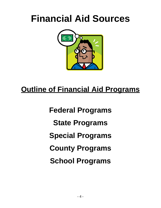## <span id="page-3-0"></span>**Financial Aid Sources**



### **Outline of Financial Aid Programs**

**Federal Programs State Programs Special Programs County Programs School Programs**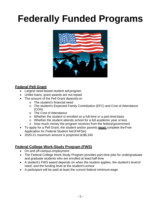## <span id="page-4-0"></span>**Federally Funded Programs**



#### **Federal Pell Grant**

- Largest need-based student aid program
- Unlike loans, grant awards are not repaid
- The amount of the Pell Grant depends on
	- o The student's financial need
	- o The student's Expected Family Contribution (EFC) and Cost of Attendance (COA)
	- o The Cost of Attendance
	- o Whether the student is enrolled on a full-time or a part-time basis
	- o Whether the student attends school for a full academic year or less
	- o How much money the program receives from the federal government
- To apply for a Pell Grant, the student and/or parents **must** complete theFree Application for Federal Student Aid (FAFSA)
- 2020-21 maximum amount is projected at \$6,345

#### **Federal College Work-Study Program (FWS)**

- On and off-campus employment
- The Federal College Work-Study Program provides part-time jobs for undergraduate and graduate students who are enrolled at least half-time
- A student's FWS award depends on when the student applies, the student's levelof need, and the funding level at the student's school
- A participant will be paid at least the current federal minimum wage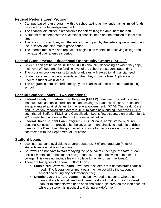#### **Federal Perkins Loan Program**

- Campus-based loan program, with the school acting as the lender using limited funds provided by the federal government
- The financial aid officer is responsible for determining the amount of the loan
- A student must demonstrate exceptional financial need and be enrolled at least halftime
- This is a subsidized loan, with the interest being paid by the federal government during the in-school and nine-month grace period
- The interest rate is 5% and repayment begins nine months after leaving collegeand may extend over a ten-year period

#### **Federal Supplemental Educational Opportunity Grants (FSEOG)**

- Students can get between \$100 and \$4,000 annually, depending on when theyapply, their level of need, and the funding level of the school the student isattending
- The program provides grants to undergraduates with exceptional financialneed
- Students are automatically considered when they submit a Free Application for Federal Student Aid (FAFSA)
- The program is administered directly by the financial aid office at eachparticipating school

#### **Federal Stafford Loans – Two Variations:**

- **Federal Family Education Loan Program (FFELP**) loans are provided by private lenders, such as banks, credit unions, and savings & loan associations. These loans are guaranteed against default by the federal government. *NOTE:* The Health Care and Education Reconciliation Act of 2010 eliminates new lending under the FFELP such that all Stafford, PLUS, and Consolidation Loans first disbursed on or after July1, 2010, must be made under the FDSLP, described below.
- **Federal Direct Student Loan Program (FDSLP)** loans, administered by "Direct Lending Schools," are provided by the US government directly to students andtheir parents. The Direct Loan Program would continue to use private sector companies contracted with the Department of Education.

#### **Stafford Loans**

- Low-interest loans available to undergraduate (2.75%) and graduate (4.30%) students enrolled at least half-time
- Borrowers do not have to start repaying the principal of either type of StaffordLoan until six months after the student has graduated, dropped below half-time, or left college (This does not include leaving college for winter or summerbreak).
- There are two types of Federal Stafford Loans:
	- **Subsidized Stafford Loans**  awarded to students that demonstratefinancial need. (The federal government pays the interest while the student is in school and during any deferment period).
	- **Unsubsidized Stafford Loans**  may be awarded to students who do not demonstrate financial need and therefore do not qualify for a subsidized loan, or to students who need additional funds. (Interest on the loan accrues while the student is in school and during any deferment).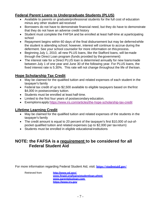#### **Federal Parent Loans to Undergraduate Students (PLUS)**

- Available to parents or graduate/professional students for the full cost of education minus any other student aid received
- Borrowers do not have to demonstrate financial need, but they do have to demonstrate that they do not have an adverse credit history
- Student must complete the FAFSA and be enrolled at least half-time at aparticipating school
- Repayment begins within 60 days of the final disbursement but may be deferredwhile the student is attending school; however, interest will continue to accrue during the deferment. See your school counselor for more information on this process.
- Beginning July 1, 2010, all new PLUS loans, like the Stafford loans, will be made through the Direct Loan program (funds provided by thegovernment)
- The interest rate for a Direct PLUS loan is determined annually for new loans made between July 1 of one year and June 30 of the following year. For PLUS loans, the fixed interest rate is 5.30%. This rate will not change throughout the life of theloan.

#### **Hope Scholarship Tax Credit**

- May be claimed for the qualified tuition and related expenses of each student in the taxpayer's family
- Federal tax credit of up to \$2,500 available to eligible taxpayers based on thefirst \$4,000 in postsecondary tuition.
- Students must be enrolled at least half-time.
- Limited to the first four years of postsecondary education.
- Exemptionsapply[:https://www.irs.com/articles/the-hope-scholarship-tax-credit](https://www.irs.com/articles/the-hope-scholarship-tax-credit)

#### **Lifetime Learning Credit**

- May be claimed for the qualified tuition and related expenses of the students in the taxpayer's family
- The credit amount is equal to 20 percent of the taxpayer's first \$10,000 of out-ofpocket qualified tuition and related expenses (up to \$2,000 per taxreturn)
- Students must be enrolled in eligible educational institutions

#### **NOTE: the FAFSA is a requirement to be considered for all Federal Student Aid**

For more information regarding Federal Student Aid, visit: **<https://studentaid.gov/>**

Retrieved from **<http://www.ed.gov/>**

**[www.finaid.org/loans/studentloan.phtml](http://www.finaid.org/loans/studentloan.phtml) [www.parentplusloan.com](http://www.parentplusloan.com/) [https://www.irs.gov](https://www.irs.gov/)**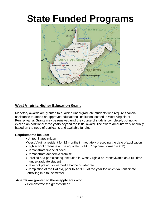

#### **West Virginia Higher Education Grant**

Monetary awards are granted to qualified undergraduate students who require financial assistance to attend an approved educational institution located in West Virginia or Pennsylvania. Grants may be renewed until the course of study is completed, but not to exceed an additional three years beyond the initial award. The award amounts vary annually based on the need of applicants and available funding.

#### **Requirements include:**

- •United States citizen
- West Virginia resident for 12 months immediately preceding the date of application
- •High school graduate or the equivalent (TASC diploma, formerlyGED)
- •Demonstrate financial need
- •Demonstrate academic promise
- •Enrolled at a participating institution in West Virginia or Pennsylvania as a full-time undergraduate student
- •Have not previously earned a bachelor's degree
- •Completion of the FAFSA, prior to April 15 of the year for which you anticipate enrolling in a fall semester.

#### **Awards are granted to those applicants who**:

• Demonstrate the greatest need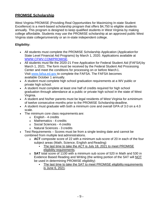#### **PROMISE Scholarship**

West Virginia PROMISE (Providing Real Opportunities for Maximizing In-state Student Excellence) is a merit-based scholarship program that offers \$4,750 to eligible students annually. This program is designed to keep qualified students in West Virginia by making college affordable. Students may use the PROMISE scholarship at an approved public West Virginia state college/university or an in-state independent college.

#### **Eligibility:**

- All students must complete the PROMISE Scholarship Application (Application for State Level Financial Aid Programs) by March 1, 2020. Applications available at [WWW.CFWV.COM/PROMISE.](http://www.cfwv.com/PROMISE)
- All students must file the 2020-21 Free Application for Federal Student Aid (FAFSA) by March 1, 2021. The form must be received by the Federal Student Aid Processing Center and meet the conditions for processing on or before March1. Visit [www.fafsa.ed.gov t](http://www.fafsa.ed.gov/)o complete the FAFSA. The FAFSA becomes available October 1 annually.
- A student must complete high school graduation requirements at a WV public or private high school.
- A student must complete at least one half of credits required for high school graduation through attendance at a public or private high school in the state of West Virginia.
- A student and his/her parents must be legal residents of West Virginia for aminimum of twelve consecutive months prior to the PROMISE Scholarship deadline.
- A student must graduate with both a minimum core and overall GPA of 3.0 on a 4.0 scale.
- The minimum core class requirements are:
	- o English 4 credits
	- o Mathematics 4 credits
	- o Social Sciences 4 credits
	- o Natural Sciences 3 credits
- Test Requirements Scores must be from a single testing date and cannot be combined from multiple test administrations.
	- o **ACT** composite score of 22 with a minimum sub-score of 20 in each of the four subject areas (Math, Science, English and Reading)
		- The last time to take the ACT is July 18, 2021 to meet PROMISE eligibility requirements.
	- o **SAT** total score of 1100 with a minimum sub score of 520 in Math and 530 in Evidence Based Reading and Writing (the writing portion of the SAT will NOT be used in determining PROMISE eligibility)
		- The last time to take the SAT to meet PROMISE eligibility requirements is June 6, 2021.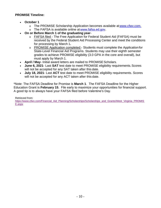#### **PROMISE Timeline:**

- **October 1**
	- o The PROMISE Scholarship Application becomes available at [www.cfwv.com.](http://www.cfwv.com./)
	- o The FAFSA is available online at [www.fafsa.ed.gov.](http://www.fafsa.ed.gov/)
- **On or Before March 1 of the graduating year**
	- o FAFSA filed The Free Application for Federal Student Aid (FAFSA) must be received by the Federal Student Aid Processing Center and meet the conditions for processing by March 1**.**
	- o PROMISE Application completed Students must complete the Applicationfor State-Level Financial Aid Programs. Students may use their eighth semester grades to achieve PROMISE eligibility (3.0 GPA in the core and overall), but must apply by March 1.
- **April / May-** Initial award letters are mailed to PROMISE Scholars.
- **June 6, 2021** Last **SAT** test date to meet PROMISE eligibility requirements.Scores will not be accepted for any SAT taken after this date.
- **July 18, 2021** Last **ACT** test date to meet PROMISE eligibility requirements. Scores will not be accepted for any ACT taken after this date.

\*Note: The FAFSA Deadline for Promise is **March 1**. The FAFSA Deadline for the Higher Education Grant is **February 15**. File early to maximize your opportunities for financial support. A good tip is to always have your FAFSA filed before Valentine's Day.

Retrieved from:

[https://www.cfwv.com/Financial\\_Aid\\_Planning/Scholarships/Scholarships\\_and\\_Grants/West\\_Virginia\\_PROMIS](https://www.cfwv.com/Financial_Aid_Planning/Scholarships/Scholarships_and_Grants/West_Virginia_PROMISE.aspx)\_ [E.aspx](https://www.cfwv.com/Financial_Aid_Planning/Scholarships/Scholarships_and_Grants/West_Virginia_PROMISE.aspx)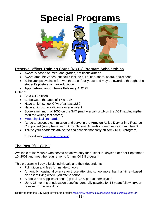## **Special Programs**

<span id="page-10-0"></span>

#### **Reserve Officer Training Corps (ROTC) Program Scholarships**

- Award is based on merit and grades, not financial need
- Award amount: Varies, but could include full tuition, room, board, andstipend
- Scholarships available for two, three, or four-years and may be awarded throughout a student's post-secondary education.
- **Application round closes February 4, 2021**

#### Criteria:

- Be a U.S. citizen
- Be between the ages of 17 and 26
- Have a high school GPA of at least 2.50
- Have a high school diploma or equivalent
- Score a minimum of 1000 on the SAT (math/verbal) or 19 on the ACT (excludingthe required writing test scores)
- [Meet physical](https://www.goarmy.com/content/dam/goarmy/downloaded_assets/pdfs/hs-scholarship-physical-assessment-17.pdf) standards
- Agree to accept a commission and serve in the Army on Active Duty or in a Reserve Component (Army Reserve or Army National Guard) - 8-year service commitment
- Talk to your academic advisor to find schools that carry an Army ROTC program

Retrieved from [www.goarmy.com/rotc/](http://www.goarmy.com/rotc/)

#### **The Post-9/11 GI Bill**

Available to individuals who served on active duty for at least 90 days on or after September 10, 2001 and meet the requirements for any GI Bill program.

This program will pay eligible individuals and their dependents:

- Full tuition and fees for instate schools
- A monthly housing allowance for those attending school more than half time –based on cost of living where you attend school.
- A books and supplies stipend (up to \$1,000 per academic year)
- Up to 36 months of education benefits, generally payable for 15 years followingyour release from active duty.

Retrieved from the U.S. Dept. of Veterans Affairs<https://www.va.gov/education/about-gi-bill-benefits/post-9-11/>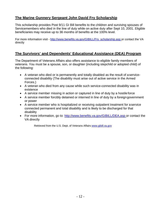#### **The Marine Gunnery Sergeant John David Fry Scholarship**

This scholarship provides Post 9/11 GI Bill benefits to the children and surviving spouses of Servicemembers who died in the line of duty while on active duty after Sept 10, 2001. Eligible beneficiaries may receive up to 36 months of benefits at the 100% level.

For more information visit - [http://www.benefits.va.gov/GIBILL/Fry\\_scholarship.asp o](http://www.benefits.va.gov/GIBILL/Fry_scholarship.asp)r contact the VA directly

#### **The Survivors' and Dependents' Educational Assistance (DEA) Program**

The Department of Veterans Affairs also offers assistance to eligible family members of veterans. You must be a spouse, son, or daughter (including stepchild or adopted child) of the following:

- A veteran who died or is permanently and totally disabled as the result of aserviceconnected disability (The disability must arise out of active service in the Armed Forces.)
- A veteran who died from any cause while such service-connected disability was in existence
- A service member missing in action or captured in line of duty by a hostile force
- A service member forcibly detained or interned in line of duty by a foreign government or power
- A service member who is hospitalized or receiving outpatient treatment for aservice connected permanent and total disability and is likely to be discharged for that disability
- For more information, go to: [http://www.benefits.va.gov/GIBILL/DEA.asp o](http://www.benefits.va.gov/GIBILL/DEA.asp)r contact the VA directly

Retrieved from the U.S. Dept. of Veterans Affairs [www.gibill.va.gov](http://www.gibill.va.gov/)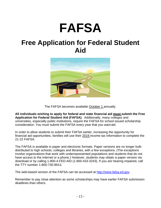## **FAFSA**

### **Free Application for Federal Student Aid**



The FAFSA becomes available October 1 annually.

**All individuals wishing to apply for federal and state financial aid must submit the Free Application for Federal Student Aid (FAFSA)**. Additionally, many colleges and universities, especially public institutions, require the FAFSA for school issued scholarship consideration. You must submit the FAFSA every year that you want aid.

In order to allow students to submit their FAFSA earlier, increasing the opportunity for financial aid opportunities, families will use their 2019 income tax information to complete the 21-22 FAFSA.

The FAFSA is available in paper and electronic formats. Paper versions are no longer bulkdistributed to high schools, colleges and libraries, with a few exceptions. (The exceptions involve organizations that work with underrepresented populations and students that do not have access to the Internet or a phone.) However, students may obtain a paper version via download or by calling 1-800-4-FED-AID (1-800-433-3243). If you are hearing impaired, call the TTY number 1-800-730-8913.

The web-based version of the FAFSA can be accessed at [http://www.fafsa.ed.gov.](http://www.fafsa.ed.gov/)

Remember to pay close attention as some scholarships may have earlier FAFSA submission deadlines than others.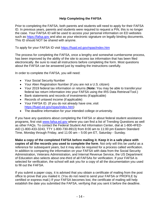#### **Help Completing the FAFSA**

Prior to completing the FAFSA, both parents and students will need to apply for their FAFSA ID. In previous years, parents and students were required to request a PIN, this is no longer the case. Your FAFSA ID will be used to access your personal information on ED websites such as [https://fafsa.gov a](https://fafsa.gov/)nd also as your electronic signature on legally binding documents. This ID should NOT be shared with anyone.

To apply for your FAFSA ID visit<https://fsaid.ed.gov/npas/index.htm>

The process for completing the FAFSA, once a lengthy and somewhat cumbersome process, has been improved by the ability of the site to access tax information that has been filed electronically. Be sure to read all instructions before completing the form. Most questions about the FAFSA can be answered just by reading the instructions carefully.

In order to complete the FAFSA, you will need:

- Your Social Security Number
- Your Alien Registration Number (if you are not a U.S. citizen)
- Your 2019 federal tax information or returns (**Note:** You may be able to transferyour federal tax return information into your FAFSA using the IRS Data RetrievalTool.)
- Bank statements and records of investments (if applicable)
- Records of untaxed income (if applicable)
- Your FAFSA ID. (If you do not already have one, visit [https://fsaid.ed.gov/npas/index.htm\)](https://fsaid.ed.gov/npas/index.htm)
- The deadline information for your intended college or university.

If you have any questions about completing the FAFSA or about federal student assistance programs, first visit [www.fafsa.ed.gov](http://www.fafsa.ed.gov/) where you can find a list of Trending Questions as well as other FAQs. To contact the Federal Student Aid Information Center, dial at 1-800-4FED-AID (1-800-433-3243, TTY 1-800-730-8913) from 8:00 am to 11:00 pm Eastern Standard Time, Monday through Friday, and 11:00 am – 5:00 pm ET, Saturday - Sunday.

**Make a copy of the completed FAFSA before mailing it. Keep it in a safe place with copies of all the records you used to complete the form**. Not only will this be useful as a reference for subsequent years, but it may also be required for a process called verification. In addition to comparing the information on your FAFSA with data from the Social Security Administration, Veterans Administration, and Internal Revenue Service, the US Department of Education also selects about one-third of all FAFSAs for verification. If your FAFSA is selected for verification, the school will ask you for a copy of all the documentation you used to fill out the FAFSA.

If you submit a paper copy, it is advised that you obtain a certificate of mailing from the post office to prove that you mailed it. (You do not need to send your FAFSA or PROFILE by certified or express mail.) If your FAFSA becomes lost, the certificate of mailing will help establish the date you submitted the FAFSA, verifying that you sent it before the deadline.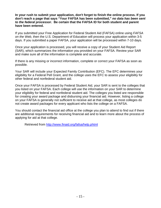**In your rush to submit your application, don't forget to finish the online process. If you don't reach a page that says "Your FAFSA has been submitted,"** *no data has been sent to the federal processor***. Be certain that the FAFSA ID for both student and parent have been entered.**

If you submitted your Free Application for Federal Student Aid (FAFSA) online using *FAFSA on the Web*, then the U.S. Department of Education will process your application within 3-5 days. If you submitted a paper FAFSA, your application will be processed within 7-10 days.

Once your application is processed, you will receive a copy of your Student Aid Report (SAR), which summarizes the information you provided on your FAFSA. Review your SAR and make sure all of the information is complete and accurate.

If there is any missing or incorrect information, complete or correct your FAFSA as soon as possible.

Your SAR will include your Expected Family Contribution (EFC). The EFC determines your eligibility for a Federal Pell Grant, and the college uses the EFC to assess your eligibility for other federal and nonfederal student aid.

Once your FAFSA is processed by Federal Student Aid, your SAR is sent to the colleges that you listed on your FAFSA. Each college will use the information on your SAR to determine your eligibility for federal and nonfederal student aid. The colleges you listed are responsible for creating your award package and disbursing your financial aid. However, listing a college on your FAFSA is generally not sufficient to receive aid at that college, as most colleges do not create award packages for every applicant who lists the college on a FAFSA.

You should contact the financial aid office at the college you plan to attend to find out if there are additional requirements for receiving financial aid and to learn more about the process of applying for aid at that college.

Retrieved from<http://www.finaid.org/fafsa/help.phtml>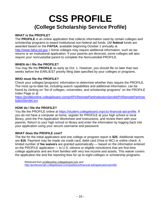### **CSS PROFILE (College Scholarship Service Profile)**

#### **WHAT is the PROFILE?**

The **PROFILE** is an online application that collects information used by certain colleges and scholarship programs to award institutional non-federal aid funds. (All **federal** funds are awarded based on the **FAFSA**, available beginning October 1 annually at [http://www.fafsa.ed.gov.](http://www.fafsa.ed.gov/)) Some colleges may require additional information, such as tax returns or an institutional application. If your parents are divorced, some colleges will also require your noncustodial parent to complete the Noncustodial PROFILE.

#### **WHEN do I file the PROFILE?**

You may file the **PROFILE** as early as Oct. 1. However, you should file no later than two weeks before the EARLIEST priority filing date specified by your colleges or programs.

#### **WHO must file the PROFILE?**

Check your colleges'/programs' information to determine whether they require the PROFILE. The most up-to-date list, including search capabilities and additional information, can be found by clicking on "list of colleges, universities, and scholarship programs" on the PROFILE Index Page or at [https://profileonline.collegeboard.com/prf/PXRemotePartInstitutionServlet/PXRemotePartInsti](https://profileonline.collegeboard.com/prf/PXRemotePartInstitutionServlet/PXRemotePartInstitutionServlet.srv)

[tutionServlet.srv.](https://profileonline.collegeboard.com/prf/PXRemotePartInstitutionServlet/PXRemotePartInstitutionServlet.srv)

#### **HOW do I file the PROFILE?**

You file the PROFILE online at [https://student.collegeboard.org/css-financial-aid-profile.](https://student.collegeboard.org/css-financial-aid-profile) If you do not have a computer at home, register for PROFILE at your high school or local library, print the Pre-Application Worksheet and Instructions, and review them with your parents. Return to your high school or library and enter the information by logging back into your application using your secure username and password.

#### **WHAT does the PROFILE cost?**

The fee for the initial application and one college or program report is **\$25**. Additional reports are **\$16**. Payment may be made via credit card, debit card (Visa or MC) or online check. A limited number of **fee waivers** are granted automatically — based on the information entered on the PROFILE application — to U.S. citizens or eligible noncitizens that are first-time college applicants and are from families with very low income and assets. This waiver covers the application fee and the reporting fees for up to eight colleges or scholarship programs.

Retrieved from [profileonline.collegeboard.com a](https://profileonline.collegeboard.com/)nd <http://professionals.collegeboard.com/guidance/financial-aid/applications/profile>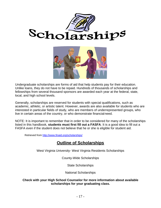



Undergraduate scholarships are forms of aid that help students pay for their education. Unlike loans, they do not have to be repaid. Hundreds of thousands of scholarships and fellowships from several thousand sponsors are awarded each year at the federal, state, local, and high school levels.

Generally, scholarships are reserved for students with special qualifications, such as academic, athletic, or artistic talent. However, awards are also available for students who are interested in particular fields of study, who are members of underrepresented groups, who live in certain areas of the country, or who demonstrate financialneed.

NOTE: It is important to remember that in order to be considered for many of the scholarships listed in this handbook, **students must first fill out a FASFA**. It is a good idea to fill out a FASFA even if the student does not believe that he or she is eligible for student aid.

Retrieved from<http://www.finaid.org/scholarships/>

#### **Outline of Scholarships**

West Virginia University- West Virginia Residents Scholarships

County-Wide Scholarships

State Scholarships

National Scholarships

#### **Check with your High School Counselor for more information about available scholarships for your graduating class.**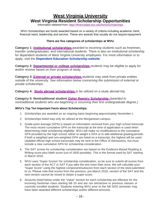#### **West Virginia University West Virginia Resident Scholarship Opportunities**

Information obtained from:<https://financialaid.wvu.edu/home/scholarships>

WVU Scholarships are funds awarded based on a variety of criteria including academic merit, financial need, leadership and service. These are awards that usually do not require repayment

#### **There are five categories of scholarships at WVU.**

**Category 1: [Institutional scholarships](https://financialaid.wvu.edu/home/scholarships/freshmen)** awarded to incoming students such as freshmen, transfer undergraduates, and international students. There is also an institutional scholarship for dependent students of West Virginia University employees. For more information or to apply, visit the **[Dependent Education Scholarship website](https://talentandculture.wvu.edu/wellness-and-perks/dependent-education-scholarship)**.

**Category 2: [Departmental or college scholarships](https://financialaid.wvu.edu/home/scholarships/departmental-or-college-scholarships)** students may be eligible to apply for and/or receive based on their program of study.

**Category 3: [External or private scholarships](https://financialaid.wvu.edu/home/scholarships/external)** students may seek from private entities outside of the university. *See information below concerning the submission of external or private scholarships.*

**Category 4: [Study abroad scholarships](https://financialaid.wvu.edu/home/scholarships/study-abroad-scholarships)** to be utilized on a study abroad trip.

**Category 5: Nontraditional student [Osher Reentry Scholarship](https://financialaid.wvu.edu/home/scholarships/osher)** *(awarded to nontraditional students who are beginning or resuming their first undergraduate degree.)*

#### **WVU's Top Ten Important Facts about Scholarships:**

- 1. Scholarships are awarded on an ongoing basis beginning approximately November 1.
- 2. Scholarships listed may only be utilized at the Morgantown campus.
- 3. Grade point average (GPA) is based on information received from your high school transcript. The most recent cumulative GPA on the transcript at the time of application is used when determining initial scholarship eligibility. WVU will make no modifications to the cumulative GPA provided by the high school, either to weight a GPA or to add additional grading periods. If both a weighted and non-weighted GPA are listed on a transcript, the highest will be used. Updated official high school transcripts may be sent to the Office of Admissions, but must include a new cumulative GPA for scholarship consideration.
- 4. The SAT scores for scholarship consideration are based on the Evidence-Based Reading & Writing score plus Math score (out of 1600 possible). This is the format used by SAT starting in March 2016.
- 5. WVU uses "Super Scores" for scholarship consideration, so be sure to submit all scores from each section of the ACT or SAT if you take the test more than once. We will calculate your "Super Score" using the highest component/subscore from each section of the tests submitted to us. Please note that scores from the previous, pre-March 2016, version of the SAT and the new version cannot be mixed to obtain a super score.
- 6. Amounts listed below under the "Value" section for each scholarship are effective for the incoming freshman class starting fall 20 and are not retroactive to previous classes or currently enrolled students. Students entering WVU prior to the fall 2020 semester may have been awarded different scholarships and/or different amounts.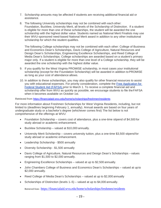- 7. Scholarship amounts may be affected if students are receiving additional financial aid or assistance.
- 8. The following University scholarships may not be combined with each other: Foundation, Bucklew, University Merit, all levels of the Scholarship of Distinction. If a student is eligible for more than one of these scholarships, the student will be awarded the one scholarship with the highest dollar value. Students named as National Merit Finalists may use their WVU-sponsored need-based National Merit award in addition to any other institutional scholarship for which the student qualifies.

The following College scholarships may not be combined with each other: College of Business and Economics Dean's Scholarships, Davis College of Agriculture, Natural Resources and Design Dean's Scholarships, Engineering Excellence Scholarships, and Reed College of Media Dean's Scholarships. College scholarships are awarded based on a student's primary major only. If a student is eligible for more than one level of a College scholarship, they will be awarded the one scholarship with the highest dollar value.

- 9. If you qualify for the West Virginia PROMISE scholarship, in most cases your institutional scholarship (except for the Foundation Scholarship) will be awarded in addition to PROMISE as long as your cost of attendance allows.
- 10. In addition to these scholarships, you may also qualify for other financial resources to assist you with educational expenses. For priority consideration, complete the [Free Application for](https://fafsa.ed.gov/)  [Federal Student Aid \(FAFSA\) p](https://fafsa.ed.gov/)rior to March 1. To receive a complete financial aid and scholarship offer from WVU as quickly as possible, we encourage students to file theFAFSA when it becomes available on October 1st.

Retrieved from<https://financialaid.wvu.edu/home/scholarships/freshmen/residents>

For more information about Freshmen Scholarships for West Virginia Residents, including, but not limited to (deadlines beginning February 1, annually). Annual awards are based on four years of undergraduate study or a bachelor's degree (whichever comes first) The list below is not comprehensive of the offerings at WVU:

- Foundation Scholarship covers cost of attendance, plus a one-time stipend of \$4,500 for study abroad or academic enhancement.
- Bucklew Scholarship valued at \$10,000 annually.
- University Merit Scholarship covers university tuition, plus a one-time \$3,500 stipend for study abroad or academic enhancement.
- Leadership Scholarship \$500 annually
- Diversity Scholarship \$1,500 annually
- Davis College of Agriculture, Natural Resources and Design Dean's Scholarships values ranging from \$1,500 to \$2,000 annually.
- Engineering Excellence Scholarships valued at up to \$2,500 annually.
- John Chambers College of Business and Economics Dean's Scholarships valued at up to \$2,000 annually.
- Reed College of Media Dean's Scholarships valued at up to \$2,000 annually
- Scholarships of Distinction (levels 1–5) valued at up to \$4,000 annually.

Retrieved from [: https://financialaid.wvu.edu/home/scholarships/freshmen/residents](https://financialaid.wvu.edu/home/scholarships/freshmen/residents)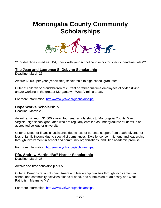### **Monongalia County Community Scholarships**



\*\*For deadlines listed as TBA, check with your school counselors for specific deadline dates\*\*

#### **The Jean and Laurence S. DeLynn Scholarship**

Deadline: March 25

Award: \$5,000 per year (renewable) scholarship to high school graduates

Criteria: children or grandchildren of current or retired full-time employees of Mylan (living and/or working in the greater Morgantown, West Virginia area).

For more information:<http://www.ycfwv.org/scholarships/>

#### **Hope Works Scholarship**

Deadline: March 25

Award: a minimum \$1,000 a year, four year scholarships to Monongalia County, West Virginia, high school graduates who are regularly enrolled as undergraduate students in an accredited college or university.

Criteria: Need for financial assistance due to loss of parental support from death, divorce, or loss of family income due to special circumstances; Excellence, commitment, and leadership through involvement in school and community organizations; and High academic promise.

For more information:<http://www.ycfwv.org/scholarships/>

#### **Pfc. Andrew Martin "Bo" Harper Scholarship**

Deadline: March 25

Award: one-time scholarship of \$500

Criteria: Demonstration of commitment and leadership qualities through involvement in school and community activities, financial need, and submission of an essay on "What Patriotism Means to Me"

For more information:<http://www.ycfwv.org/scholarships/>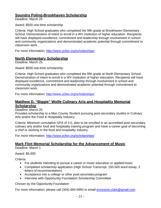#### **Soundra Poling-Brookhaven Scholarship**

Deadline: March 25

Award: \$500 one-time scholarship

Criteria: High School graduates who completed the fifth grade at Brookhaven Elementary School. Demonstration of intent to enroll in a WV institution of higher education. Recipients will have displayed excellence, commitment and leadership through involvement in school and community organizations and demonstrated academic potential through commitment to classroom work.

For more information:<http://www.ycfwv.org/scholarships/>

#### **North Elementary Scholarship**

Deadline: March 25

Award: \$500 one-time scholarship

Criteria: High School graduates who completed the fifth grade at North Elementary School. Demonstration of intent to enroll in a WV institution of higher education. Recipients will have displayed excellence, commitment and leadership through involvement in school and community organizations and demonstrated academic potential through commitment to classroom work.

For more information:<http://www.ycfwv.org/scholarships/>

#### **Matthew D. "Biggie" Wolfe Culinary Arts and Hospitality Memorial Scholarship**

Deadline: March 25

Provides scholarship to a Mon County Student pursuing post-secondary studies in Culinary Arts and/or the Food & Hospitality Industry.

Criteria: Minimum cumulative GPA of 3.0, plan to be enrolled in an accredited post-secondary culinary arts and/or food and hospitality training program and have a career goal of becoming a chef or working in the food and hospitality industry.

For more information:<http://www.ycfwv.org/scholarships/>

#### **Mark Flint Memorial Scholarship for the Advancement of Music**

Deadline: March 1

Award: \$5,000

Criteria:

- For students intending to pursue a career in music education or appliedmusic
- Completed scholarship application (High School Transcript, 150-500 word essay, 2 letters of recommendation)
- Acceptance into a college or other post-secondary program
- Interview with Opportunity Foundation Scholarship Committee

Chosen by the Opportunity Foundation

For more information, please call (304) 694-0950 or email [envirocon.clark@gmail.com](mailto:envirocon.clark@gmail.com)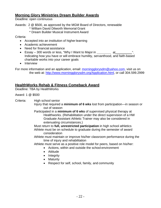#### **Morning Glory Ministries Dream Builder Awards**

Deadline: open continuous

Awards: 2 @ \$500, as approved by the MGM Board of Directors, renewable \* William David Dilworth Memorial Grant

\* Dream Builder Musical Instrument Award

Criteria:

- Accepted into an institution of higher learning
- Academic achievement
- Need for financial assistance
- Essay 300 words or less, "Why I Want to Major in at ". Indicating how you have or will embrace humility, servanthood, and faith-based charitable works into your career goals
- Interview

For more information and an application, email: [morningglorysdm@yahoo.com,](mailto:morningglorysdm@yahoo.com) visit us on the web at: [http://www.morningglorysdm.org/Application.html,](http://www.morningglorysdm.org/Application.html) or call 304.599.2999

#### **HealthWorks Rehab & Fitness Comeback Award**

Deadline: TBA by HealthWorks

Award: 1 @ \$500

Criteria: High school senior

- Injury that required a **minimum of 6 wks** lost from participation—in season or out of season
- Participated in a **minimum of 6 wks** of supervised physical therapy at Healthworks. (Rehabilitation under the direct supervision of a HW Graduate Assistant Athletic Trainer may also be considered in extenuating circumstances.)
- Must return to **full, unrestricted participation** in high school athletics Athlete must be on schedule to graduate during the semester of award consideration
- Athlete must maintain or improve his/her classroom performance during the time of injury and rehabilitation
- Athlete must serve as a positive role model for peers, based on his/her:
	- Actions, within and outside the school environment
	- Attitude
	- Integrity
	- Maturity
	- Respect for self, school, family, and community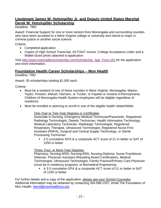#### **Lieutenant James W. Hotsinpiller Jr. and Deputy United States Marshal Derek W. Hotsinpiller Scholarship**

Deadline: TBD

Award: Financial Support for one or more seniors from Monongalia and surrounding counties who have been accepted to a West Virginia college or university and intend to major in criminal justice or another social science.

Criteria:

- Completed application
- Copies of High School Transcript, ACT/SAT scores, College Acceptance Letter and a Wallet-Sized photo attached to application

Visit [http://www.hotsinpillerscholarship.com/Scholarship\\_App\\_Form.cfm f](http://www.hotsinpillerscholarship.com/Scholarship_App_Form.cfm)or the application and more information.

#### **Foundation Health Career Scholarships – Mon Health**

Deadline: TBD

Award: 30 scholarships totaling \$1,000 each

Criteria:

- Must be a resident of one of these counties in West Virginia: Monongalia, Marion, Taylor, Preston, Wetzel, Harrison, or Tucker, or Fayette or Greene inPennsylvania. Children of Monongalia Health System employees will be eligible regardless of residence.
- Must be enrolled or planning to enroll in one of the eligible health relatedfields:

#### One-Year or Two-Year Degrees or Certificates:

Associate in Nursing, Emergency Medical Technician/Paramedic, Registered Radiology Technologist, Dietetic Technician, Health Information Technology, Medical Laboratory Technician, Radiologic Technologist, Registered Respiratory Therapist, Ultrasound Technologist, Registered Nurse First Assistant (RNFA), Surgical and Central Supply Technology, or Sterile Processing Technician

■ 2.5 cumulative GPA & a composite ACT score of 21 or better or SAT of 1250 or better

Three, Four, or More Year Degrees:

Pharmacy, Nursing-MSN, Nursing-BSN, Nursing-Diploma, Nurse Practitioner, Dietician, Physician Assistant (Resulting Board Certification), Medical Technologist, Ultrasound Technologist, Family Practice/Primary Care Physician (must be in residency program), or Biomedical Engineering

 A 3.0 cumulative GPA & a composite ACT score of 21 or better or SAT of 1250 or better

For further details and a copy of the application, please see your School Counselor. Additional information may be obtained by contacting 304.598.1337; email The Foundation of Mon Health: [harnd@monhealthsys.org](mailto:harnd@monhealthsys.org)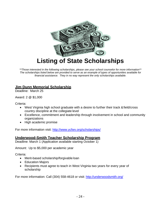

**Listing of State Scholarships**

*\*\*Those interested in the following scholarships, please see your school counselor for more information\*\* The scholarships listed below are provided to serve as an example of types of opportunities available for financial assistance. They in no way represent the only scholarships available.*

#### **Jim Dunn Memorial Scholarship**

Deadline: March 25

Award: 2 @ \$1,000

Criteria:

- West Virginia high school graduate with a desire to further their track & field/cross country discipline at the collegiate level
- Excellence, commitment and leadership through involvement in school and community organizations
- High academic promise

For more information visit:<http://www.ycfwv.org/scholarships/>

#### **Underwood-Smith Teacher Scholarship Program**

Deadline: March 1 (Application available starting October 1)

Amount: Up to \$5,000 per academic year

Criteria:

- Merit-based scholarship/forgivable loan
- Education Majors
- Recipients must agree to teach in West Virginia two years for every year of scholarship

For more information: Call (304) 558-4618 or visit:<http://underwoodsmith.org/>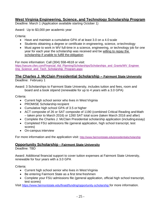#### **West Virginia Engineering, Science, and Technology Scholarship Program**

Deadline: March 1 (Application available starting October 1)

Award: Up to \$3,000 per academic year

Criteria:

- Have and maintain a cumulative GPA of at least 3.0 on a 4.0 scale
- Students obtaining a degree or certificate in engineering, science, or technology
- Must agree to work in WV full-time in a science, engineering, or technology job for one year for each year the scholarship was received and be willing to repay the scholarship if unable to fulfill the obligation

For more information: Call (304) 558-4618 or visit:

[https://secure.cfwv.com/Financial\\_Aid\\_Planning/Scholarships/Scholarships\\_and\\_Grants/WV\\_Enginee](https://secure.cfwv.com/Financial_Aid_Planning/Scholarships/Scholarships_and_Grants/WV_Engineering_Science_and_Tech_Scholarship_Program.aspx) [ring\\_Science\\_and\\_Tech\\_Scholarship\\_Program.aspx](https://secure.cfwv.com/Financial_Aid_Planning/Scholarships/Scholarships_and_Grants/WV_Engineering_Science_and_Tech_Scholarship_Program.aspx)

#### **The Charles J. McClain Presidential Scholarship – Fairmont State University**

Deadline: February 1

Award: 3 Scholarships to Fairmont State University, includes tuition and fees, room and board and a book stipend (renewable for up to 4 years with a 3.0 GPA)

Criteria:

- Current high school senior who lives in West Virginia
- PROMISE Scholarship recipient
- Cumulative high school GPA of 3.5 or higher
- ACT composite of 26 or SAT composite of 1190 (combined Critical Reading and Math – taken prior to March 2016) or 1260 SAT total score (taken March 2016 and after)
- Complete the Charles J. McClain Presidential scholarship application (includingessay)
- Completed FSU admissions file (general application, high school transcript, test scores)
- On-campus interview

For more information and the application visit:<http://www.fairmontstate.edu/presidentialscholarship>

#### **Opportunity Scholarship - Fairmont State University**

Deadline: TBD

Award: Additional financial support to cover tuition expenses at Fairmont State University, renewable for four years with a 3.0 GPA

Criteria:

- Current high school senior who lives in West Virginia
- Be entering Fairmont State as a first time freshmen
- Complete your FSU admissions file (general application, official high school transcript, test scores)

Visit [https://www.fairmontstate.edu/finaid/funding/opportunity-scholarship f](https://www.fairmontstate.edu/finaid/funding/opportunity-scholarship)or more information.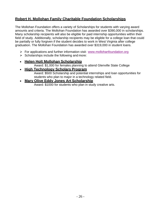#### **Robert H. Mollohan Family Charitable Foundation Scholarships**

The Mollohan Foundation offers a variety of Scholarships for students with varying award amounts and criteria. The Mollohan Foundation has awarded over \$390,000 in scholarships. Many scholarship recipients will also be eligible for paid internship opportunities within their field of study. Additionally, scholarship recipients may be eligible for a college loan that could be partially or fully forgiven if the student decides to work in West Virginia after college graduation. The Mollohan Foundation has awarded over \$319,000 in student loans.

- $\triangleright$  For applications and further information visit: [www.mollohanfoundation.org](http://www.mollohanfoundation.org/)
- $\triangleright$  Scholarships include the following and more:

#### • **Helen Holt Mollohan Scholarship**

Award: \$1,000 for females planning to attend Glenville State College

#### • **High Technology Scholars Program**

Award: \$500 Scholarship and potential internships and loan opportunities for students who plan to major in a technology related field.

#### • **Mary Olive Eddy Jones Art Scholarship**

Award: \$1000 for students who plan in study creative arts.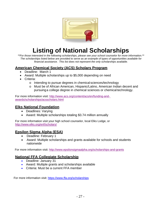

### **Listing of National Scholarships**

*\*\*For those interested in the following scholarships, please see your school counselor for more information.\*\* The scholarships listed below are provided to serve as an example of types of opportunities available for financial assistance. This list does not represent the only scholarships available.*

#### **American Chemical Society (ACS) Scholars Program**

- Deadline: March 1
- Award: Multiple scholarships up to \$5,000 depending on need
- Criteria:
	- o Intending to pursue degrees in chemical sciences/technology
	- o Must be of African American, Hispanic/Latino, American Indian decent and pursuinga college degree in chemical sciences or chemical technology.

For more information visit: [http://www.acs.org/content/acs/en/funding-and](http://www.acs.org/content/acs/en/funding-and-awards/scholarships/acsscholars.html)[awards/scholarships/acsscholars.html](http://www.acs.org/content/acs/en/funding-and-awards/scholarships/acsscholars.html)

#### **Elks National Foundation**

- Deadlines: Varying
- Award: Multiple scholarships totaling \$3.74 million annually

For more information visit your high school counselor, local Elks Lodge, or <http://www.elks.org/enf/scholars/>

#### **Epsilon Sigma Alpha (ESA)**

- Deadline: February 1
- Award: Multiple scholarships and grants available for schools and students nationwide

For more information visit:<http://www.epsilonsigmaalpha.org/scholarships-and-grants>

#### **National FFA Collegiate Scholarship**

- Deadline: January 31
- Award: Multiple grants and scholarships available
- Criteria: Must be a current FFA member

For more information visit:<https://www.ffa.org/scholarships>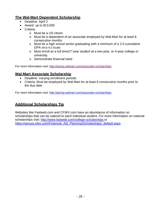#### **The Wal-Mart Dependent Scholarship**

- Deadline: April 2
- Award: up to \$13,000
- Criteria:
	- o Must be a US citizen
	- o Must be a dependent of an associate employed by Wal-Mart for at least 6 consecutive months
	- o Must be a high school senior graduating with a minimum of a 2.0 cumulative GPA on a 4.0 Scale.
	- $\circ$  Must enroll as a full time/1<sup>st</sup> year student at a two-year, or 4-year college or university
	- o Demonstrate financial need

For more information visit:<http://giving.walmart.com/associate-scholarships>

#### **Wal-Mart Associate Scholarship**

- Deadline: Varying enrollment periods
- Criteria: Must be employed by Wal-Mart for at least 6 consecutive months prior to the due date

For more information visit:<http://giving.walmart.com/associate-scholarships>

#### **Additional Scholarships Tip**

Websites like Fastweb.com and CFWV.com have an abundance of information on scholarships that can be catered to each individual student. For more information on national scholarships visit: [http://www.fastweb.com/college-scholarships o](http://www.fastweb.com/college-scholarships)r [https://secure.cfwv.com/Financial\\_Aid\\_Planning/Scholarships/\\_default.aspx.](https://secure.cfwv.com/Financial_Aid_Planning/Scholarships/_default.aspx)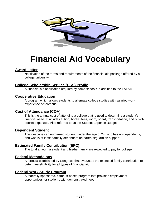

### **Financial Aid Vocabulary**

#### **Award Letter**

Notification of the terms and requirements of the financial aid package offered by a college/university

#### **College Scholarship Service (CSS) Profile**

A financial aid application required by some schools in addition to the FAFSA

#### **Cooperative Education**

A program which allows students to alternate college studies with salaried work experience off-campus

#### **Cost of Attendance (COA)**

This is the annual cost of attending a college that is used to determine a student's financial need. It includes tuition, books, fees, room, board, transportation, and out-ofpocket expenses. Also referred to as the Student Expense Budget.

#### **Dependent Student**

This describes an unmarried student, under the age of 24, who has no dependents, and who is at least partially dependent on parental/guardian support.

#### **Estimated Family Contribution (EFC)**

The total amount a student and his/her family are expected to pay for college.

#### **Federal Methodology**

A formula established by Congress that evaluates the expected family contribution to determine eligibility for all types of financial aid.

#### **Federal Work-Study Program**

A federally sponsored, campus-based program that provides employment opportunities for students with demonstrated need.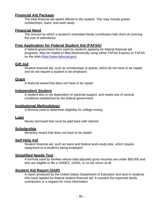#### **Financial Aid Package**

The total financial aid award offered to the student. This may include grants, scholarships, loans, and work study.

#### **Financial Need**

The amount by which a student's estimated family contribution falls short of covering the cost of attendance

#### <span id="page-29-0"></span>**Free Application for Federal Student Aid (FAFSA)**

A federal government form used by students applying for federal financial aid programs. May be mailed or filed electronically using either FAFSA Express or FAFSA on the Web [\(http://www.fafsa.ed.gov\)](http://www.fafsa.ed.gov/).

#### **Gift Aid**

Student financial aid, such as scholarships or grants, which do not have to be repaid and do not require a student to be employed

#### **Grant**

A financial award that does not have to be repaid

#### **Independent Student**

A student who is not dependent on parental support, and meets one of several conditions established by the federal government

#### **Institutional Methodology**

A formula used to determine eligibility for college money

#### **Loan**

Money borrowed that must be paid back with interest

#### **Scholarship**

Monetary award that does not have to be repaid

#### **Self-Help Aid**

Student financial aid, such as loans and federal work-study jobs, which require repayment or a student's being employed

#### **Simplified Needs Test**

A formula used by families whose total adjusted gross incomes are under \$50,000 and who are eligible to file a 1040EZ, 1040A, or no tax return at all

#### **Student Aid Report (SAR)**

A report produced by the United States Department of Education and sent to students who have applied for federal student financial aid. It contains the expected family contribution or a request for more information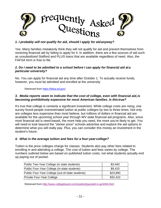

#### *1. I probably will not qualify for aid, should I apply for aidanyway?*

Yes. Many families mistakenly think they will not qualify for aid and prevent themselves from receiving financial aid by failing to apply for it. In addition, there are a few sources of aid such as unsubsidized Stafford and PLUS loans that are available regardless of need. Also, the FAFSA form is free to file.

#### *2. Do I need to be admitted to a school before I can apply for financial aid at a particular university?*

No. You can apply for financial aid any time after October 1. To actually receive funds, however, you must be admitted and enrolled at the university.

Retrieved from<https://fafsa.ed.gov/>

#### *3. Media reports seem to indicate that the cost of college, even with financial aid,is becoming prohibitively expensive for most American families. Is thistrue?*

It's true that college is certainly a significant investment. While college costs are rising, one survey found people overestimated tuition at public colleges by two to three times. Not only are colleges less expensive than most believe, but millions of dollars in financial aid are available for the upcoming school year through WV state financial aid programs. Also, since most financial aid is need-based, the more help you need, the more you're likely to get. You will need to look beyond the "sticker price" schools advertise and explore the aid options to determine what you will really pay. Plus, you can consider this money an investment in the student's future.

#### *4. What is the average tuition and fees for a four-year college?*

Tuition is the price colleges charge for classes. Students also pay other fees related to enrolling in and attending a college. The cost of tuition and fees varies by college. The numbers outlined below are based on published tuition costs, not what students actually end up paying out of pocket:

| Public Two-Year College (in state students)      | \$3.440  |
|--------------------------------------------------|----------|
| Public Four-Year College (in-state students)     | \$9.410  |
| Public Four-Year College (out-of-state students) | \$23,890 |
| Private Four-Year College                        | \$32,410 |

Retrieved from<http://www.collegeboard.com/student/pay/add-it-up/4494.html>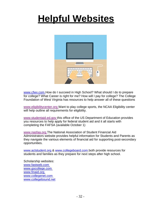## <span id="page-31-0"></span>**Helpful Websites**



[www.cfwv.com H](http://www.cfwv.com/)ow do I succeed in High School? What should I do to prepare for college? What Career is right for me? How will I pay for college? The College Foundation of West Virginia has resources to help answer all of these questions

[www.eligibilitycenter.org W](http://www.eligibilitycenter.org/)ant to play college sports, the NCAA Eligibility center will help outline all requirements for eligibility.

[www.studentaid.ed.gov t](http://www.studentaid.ed.gov/)his office of the US Department of Education provides you resources to help apply for federal student aid and it all starts with completing the FAFSA (available October 1)

[www.nasfaa.org T](http://www.nasfaa.org/)he National Association of Student Financial Aid Administrators website provides helpful information for Students and Parents as they navigate the various elements of financial aid for supporting post-secondary opportunities.

[www.actstudent.org &](http://www.actstudent.org/) [www.collegeboard.com b](http://www.collegeboard.com/)oth provide resources for students and families as they prepare for next steps after high school.

Scholarship websites: [www.fastweb.com](http://www.fastweb.com/) [www.gocollege.com](http://www.gocollege.com/) [www.finaid.org](http://www.finaid.org/) [www.collegenet.com](http://www.collegenet.com/) [www.collegebound.net](http://www.collegebound.net/)